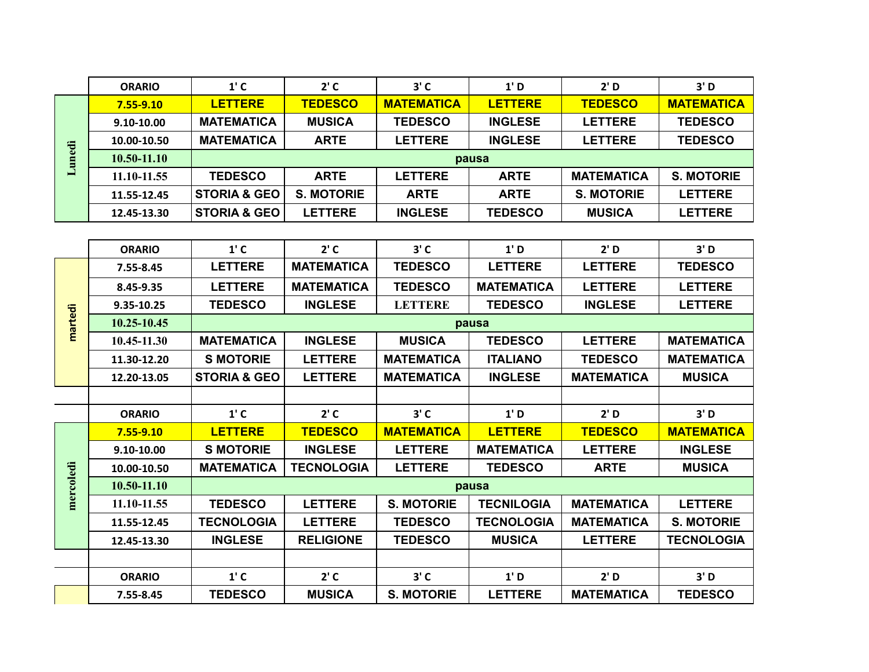|        | <b>ORARIO</b> | $1'$ C                  | $2'$ C            | $3'$ C            | 1' D           | 2' D              | 3' D              |  |
|--------|---------------|-------------------------|-------------------|-------------------|----------------|-------------------|-------------------|--|
| 侣<br>▬ | $7.55 - 9.10$ | <b>LETTERE</b>          | <b>TEDESCO</b>    | <b>MATEMATICA</b> | <b>LETTERE</b> | <b>TEDESCO</b>    | <b>MATEMATICA</b> |  |
|        | 9.10-10.00    | <b>MATEMATICA</b>       | <b>MUSICA</b>     | <b>TEDESCO</b>    | <b>INGLESE</b> | <b>LETTERE</b>    | <b>TEDESCO</b>    |  |
|        | 10.00-10.50   | <b>MATEMATICA</b>       | <b>ARTE</b>       | <b>LETTERE</b>    | <b>INGLESE</b> | <b>LETTERE</b>    | <b>TEDESCO</b>    |  |
|        | 10.50-11.10   | pausa                   |                   |                   |                |                   |                   |  |
|        | 11.10-11.55   | <b>TEDESCO</b>          | <b>ARTE</b>       | <b>LETTERE</b>    | <b>ARTE</b>    | <b>MATEMATICA</b> | <b>S. MOTORIE</b> |  |
|        | 11.55-12.45   | <b>STORIA &amp; GEO</b> | <b>S. MOTORIE</b> | <b>ARTE</b>       | <b>ARTE</b>    | <b>S. MOTORIE</b> | <b>LETTERE</b>    |  |
|        | 12.45-13.30   | <b>STORIA &amp; GEO</b> | <b>LETTERE</b>    | <b>INGLESE</b>    | <b>TEDESCO</b> | <b>MUSICA</b>     | <b>LETTERE</b>    |  |

|  |           | <b>ORARIO</b> | $1'$ C                  | $2'$ C            | $3'$ C            | 1' D              | 2' D              | 3' D              |  |  |
|--|-----------|---------------|-------------------------|-------------------|-------------------|-------------------|-------------------|-------------------|--|--|
|  |           | 7.55-8.45     | <b>LETTERE</b>          | <b>MATEMATICA</b> | <b>TEDESCO</b>    | <b>LETTERE</b>    | <b>LETTERE</b>    | <b>TEDESCO</b>    |  |  |
|  |           | 8.45-9.35     | <b>LETTERE</b>          | <b>MATEMATICA</b> | <b>TEDESCO</b>    | <b>MATEMATICA</b> | <b>LETTERE</b>    | <b>LETTERE</b>    |  |  |
|  |           | 9.35-10.25    | <b>TEDESCO</b>          | <b>INGLESE</b>    | <b>LETTERE</b>    | <b>TEDESCO</b>    | <b>INGLESE</b>    | <b>LETTERE</b>    |  |  |
|  | martedì   | 10.25-10.45   | pausa                   |                   |                   |                   |                   |                   |  |  |
|  |           | 10.45-11.30   | <b>MATEMATICA</b>       | <b>INGLESE</b>    | <b>MUSICA</b>     | <b>TEDESCO</b>    | <b>LETTERE</b>    | <b>MATEMATICA</b> |  |  |
|  |           | 11.30-12.20   | <b>S MOTORIE</b>        | <b>LETTERE</b>    | <b>MATEMATICA</b> | <b>ITALIANO</b>   | <b>TEDESCO</b>    | <b>MATEMATICA</b> |  |  |
|  |           | 12.20-13.05   | <b>STORIA &amp; GEO</b> | <b>LETTERE</b>    | <b>MATEMATICA</b> | <b>INGLESE</b>    | <b>MATEMATICA</b> | <b>MUSICA</b>     |  |  |
|  |           |               |                         |                   |                   |                   |                   |                   |  |  |
|  |           | <b>ORARIO</b> | $1'$ C                  | $2'$ C            | $3'$ C            | 1' D              | 2' D              | 3' D              |  |  |
|  |           | $7.55 - 9.10$ | <b>LETTERE</b>          | <b>TEDESCO</b>    | <b>MATEMATICA</b> | <b>LETTERE</b>    | <b>TEDESCO</b>    | <b>MATEMATICA</b> |  |  |
|  |           | 9.10-10.00    | <b>S MOTORIE</b>        | <b>INGLESE</b>    | <b>LETTERE</b>    | <b>MATEMATICA</b> | <b>LETTERE</b>    | <b>INGLESE</b>    |  |  |
|  |           | 10.00-10.50   | <b>MATEMATICA</b>       | <b>TECNOLOGIA</b> | <b>LETTERE</b>    | <b>TEDESCO</b>    | <b>ARTE</b>       | <b>MUSICA</b>     |  |  |
|  | mercoledi | 10.50-11.10   | pausa                   |                   |                   |                   |                   |                   |  |  |
|  |           | 11.10-11.55   | <b>TEDESCO</b>          | <b>LETTERE</b>    | <b>S. MOTORIE</b> | <b>TECNILOGIA</b> | <b>MATEMATICA</b> | <b>LETTERE</b>    |  |  |
|  |           | 11.55-12.45   | <b>TECNOLOGIA</b>       | <b>LETTERE</b>    | <b>TEDESCO</b>    | <b>TECNOLOGIA</b> | <b>MATEMATICA</b> | <b>S. MOTORIE</b> |  |  |
|  |           | 12.45-13.30   | <b>INGLESE</b>          | <b>RELIGIONE</b>  | <b>TEDESCO</b>    | <b>MUSICA</b>     | <b>LETTERE</b>    | <b>TECNOLOGIA</b> |  |  |
|  |           |               |                         |                   |                   |                   |                   |                   |  |  |
|  |           | <b>ORARIO</b> | $1'$ C                  | $2'$ C            | $3'$ C            | 1' D              | 2' D              | 3' D              |  |  |
|  |           | 7.55-8.45     | <b>TEDESCO</b>          | <b>MUSICA</b>     | <b>S. MOTORIE</b> | <b>LETTERE</b>    | <b>MATEMATICA</b> | <b>TEDESCO</b>    |  |  |